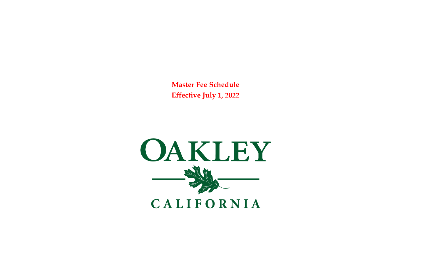**Master Fee Schedule Effective July 1, 2022**

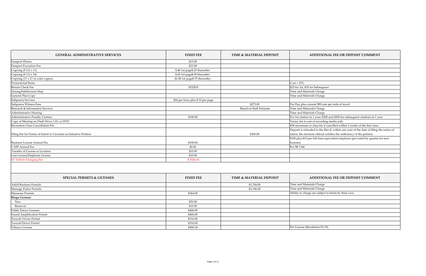| <b>FIXED FEE</b>        | <b>TIME &amp; MATERIAL DEPOSIT</b> | <b>ADDITIONAL FEE OR DEPOSIT COMMENT</b>                                                 |
|-------------------------|------------------------------------|------------------------------------------------------------------------------------------|
| \$15.00                 |                                    |                                                                                          |
| \$35.00                 |                                    |                                                                                          |
| page\$.25 thereafter    |                                    |                                                                                          |
| page\$.50 thereafter    |                                    |                                                                                          |
| page\$.75 thereafter    |                                    |                                                                                          |
|                         |                                    | $Cost + 10\%$                                                                            |
| $$25/\$35$              |                                    | \$25 for 1st, \$35 for Subsequent                                                        |
|                         |                                    | Time and Materials Charge                                                                |
|                         |                                    | Time and Materials Charge                                                                |
| our plus \$.10 per page |                                    |                                                                                          |
|                         | \$275.00                           | Per Day plus current IRS rate per mile of travel                                         |
|                         | <b>Based on Staff Estimate</b>     | Time and Materials Charge                                                                |
|                         |                                    | Time and Materials Charge                                                                |
| \$100.00                |                                    | For 1st citation in 1 year; \$200 and \$500 for subsequent citations in 1 year           |
|                         |                                    | Varies, fee is cost of recording media only                                              |
|                         |                                    | \$38 maximum or class fee if cancelled within 2 weeks of the first class                 |
|                         |                                    | Deposit is refunded to the filer if, within one year of the date of filing the notice of |
|                         | \$200.00                           | intent, the elections official certifies the sufficiency of the petition.                |
|                         |                                    | \$100 plus \$10 per full time equivalent employee (pro-rated by quarter for new          |
| \$100.00                |                                    | licenses)                                                                                |
| \$4.00                  |                                    | Per SB 1186                                                                              |
| \$10.00                 |                                    |                                                                                          |
| \$10.00                 |                                    |                                                                                          |
| \$.30/kwh               |                                    |                                                                                          |

# **GENERAL ADMINISTRATIVE SERVICES** Passport Photos Passport Execution Fee Copying  $(8 \frac{1}{2} \times 11)$  \$.40 1st 5.40 1st \$.40 1st 5.45 thereafter  $(8 \frac{1}{2} \times 14)$ Copying  $(8\ 1/2 \times 14)$  $\frac{1000 \text{ Copying} (11 \times 17 \text{ or color copies})}{1000 \text{ T of 1000}}$  \$1.00 1st  $\sim$  Promotional Items Return Check Fee \$25/\$35 \$25 for 1st, \$35 for Subsequent Zoning/Subdivision Map General Plan Copy Time and Materials Charge Subpoena Services \$24 per hours \$24 per hours \$24 per hours \$24 per hours \$24 per hours \$24 per hours \$24 per hours \$24 per hours \$24 per hours \$24 per hours \$24 per hours \$24 per hours \$24 per hours \$24 per hours \$24 per Subpoena Witness Fees \$275.00 Per Day plus current IRS rate per mile of travel Research & Information Services Administrative Hearing Administrative Penalty Citation Copy of Meeting on Flash Drive, CD, or DVD Recreation Class Cancellation Fee Filing Fee for Notice of Intent to Circulate an Initiative Petition Business License Annual Fee CASP Annual Fee \$4.00 Per SB 1186 Transfer of License or Location Lost License/Duplicate License EV Vehicle Charging Fee

|                               | <b>SPECIAL PERMITS &amp; LICENSES</b> | <b>FIXED FEE</b> | TIME & MATERIAL DEPOSIT | <b>ADDITIONAL FEE OR DEPOSIT COMMENT</b>              |
|-------------------------------|---------------------------------------|------------------|-------------------------|-------------------------------------------------------|
| <b>Adult Business Permits</b> |                                       |                  | \$1,704.00              | Time and Materials Charge                             |
| Massage Parlor Permits        |                                       |                  | \$1,196.00              | Time and Materials Charge                             |
| <b>Masseuse Permits</b>       |                                       | \$364.00         |                         | Ability to charge are subject to limits by State Law. |
| <b>Bingo Licenses</b>         |                                       |                  |                         |                                                       |
| New                           |                                       | \$50.00          |                         |                                                       |
| Renewal                       |                                       | \$10.00          |                         |                                                       |
| <b>Public Dance Licenses</b>  |                                       | \$406.00         |                         |                                                       |
| Sound Amplification Permit    |                                       | \$406.00         |                         |                                                       |
| <b>Taxicab Owner Permit</b>   |                                       | \$316.00         |                         |                                                       |
| <b>Taxicab Driver Permit</b>  |                                       | \$316.00         |                         |                                                       |
| <b>Tobacco License</b>        |                                       | \$458.18         |                         | Per License (Resolution 03-19)                        |

| <b>IMENT</b>           |
|------------------------|
|                        |
|                        |
|                        |
|                        |
|                        |
|                        |
|                        |
|                        |
|                        |
|                        |
|                        |
|                        |
|                        |
|                        |
| $\sqrt{\sin 1}$ year   |
|                        |
| st class               |
| f filing the notice of |
| on.                    |
| quarter for new        |
|                        |
|                        |
|                        |
|                        |
|                        |
|                        |
|                        |
|                        |
| <b>IMENT</b>           |
|                        |
|                        |
|                        |
|                        |
|                        |
|                        |
|                        |
|                        |
|                        |
|                        |
|                        |
|                        |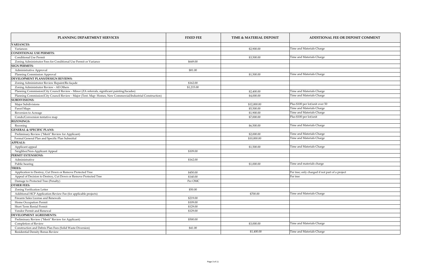| <b>VARIANCES:</b><br>Time and Materials Charge<br>Variances<br>\$2,900.00<br><b>CONDITIONAL USE PERMITS:</b><br>Time and Materials Charge<br><b>Conditional Use Permit</b><br>\$3,500.00<br>Zoning Administrator Fees for Conditional Use Permit or Variance<br>\$649.00<br><b>SIGN PERMITS:</b><br>Administrative Approval<br>\$81.00<br>Time and Materials Charge<br><b>Planning Commission Approval</b><br>\$1,500.00<br>DEVELOPMENT PLANS/DESIGN REVIEWS:<br>Zoning Administrator Review Repaint/Re-façade<br>\$162.00<br>Zoning Administrator Review - All Others<br>\$1,215.00<br>Planning Commission/City Council Review - Minor (ZA referrals, significant painting/facades)<br>Time and Materials Charge<br>\$2,400.00<br>Time and Materials Charge<br>Planning Commission/City Council Review - Major (Tent. Map-Homes, New Commercial/Industrial Construction)<br>\$4,000.00<br>Plus \$100 per lot/unit over 50<br>Major Subdivisions<br>\$12,000.00<br>Time and Materials Charge<br>Parcel Maps<br>\$5,500.00<br>Time and Materials Charge<br>Reversion to Acreage<br>\$1,900.00<br>Plus \$100 per lot/unit<br>Condo/Conversion tentative map<br>\$7,000.00<br><b>REZONINGS:</b><br>Time and Materials Charge<br>Rezoning<br>\$6,500.00<br><b>GENERAL &amp; SPECIFIC PLANS:</b><br>Time and Materials Charge<br>Preliminary Review ("Merit" Review for Applicant)<br>\$2,000.00<br>Formal General Plan and Specific Plan Submittal<br>Time and Materials Charge<br>\$10,000.00<br><b>APPEALS:</b><br>Time and Materials Charge<br>\$1,500.00<br>Applicant appeal<br>Neighbor/Non-Applicant Appeal<br>\$109.00<br>PERMIT EXTENSIONS:<br>\$162.00<br>Administrative<br>Time and materials charge<br>Public hearing<br>\$1,000.00<br><b>TREES:</b><br>Application to Destroy, Cut Down or Remove Protected Tree<br>Per tree; only charged if not part of a project<br>\$450.00<br>Appeal of Decision to Destroy, Cut Down or Remove Protected Tree<br>Per tree<br>\$140.00<br>Damage to Protected Tree (Penalty)<br>Per OMC<br><b>OTHER FEES:</b><br><b>Zoning Verification Letter</b><br>\$50.00<br>Time and Materials Charge<br>Additional HCP Application Review Fee (for applicable projects)<br>\$700.00<br>Firearm Sales License and Renewals<br>\$219.00<br>Home Occupation Permit<br>\$109.00<br><b>Short Term Rental Permit</b><br>\$129.00<br>Vendor Permit and Renewal<br>\$129.00<br><b>DEVELOPMENT AGREEMENTS:</b><br>\$500.00<br>Preliminary Review ("Merit" Review for Applicant)<br>Time and Materials Charge<br>\$3,000.00<br><b>Completion of Review</b><br>Construction and Debris Plan Fees (Solid Waste Diversion)<br>\$41.00<br>Time and Materials Charge<br>\$1,400.00<br><b>Residential Density Bonus Review</b> | PLANNING DEPARTMENT SERVICES | <b>FIXED FEE</b> | <b>TIME &amp; MATERIAL DEPOSIT</b> | <b>ADDITIONAL FEE OR DEPOSIT COMMENT</b> |
|---------------------------------------------------------------------------------------------------------------------------------------------------------------------------------------------------------------------------------------------------------------------------------------------------------------------------------------------------------------------------------------------------------------------------------------------------------------------------------------------------------------------------------------------------------------------------------------------------------------------------------------------------------------------------------------------------------------------------------------------------------------------------------------------------------------------------------------------------------------------------------------------------------------------------------------------------------------------------------------------------------------------------------------------------------------------------------------------------------------------------------------------------------------------------------------------------------------------------------------------------------------------------------------------------------------------------------------------------------------------------------------------------------------------------------------------------------------------------------------------------------------------------------------------------------------------------------------------------------------------------------------------------------------------------------------------------------------------------------------------------------------------------------------------------------------------------------------------------------------------------------------------------------------------------------------------------------------------------------------------------------------------------------------------------------------------------------------------------------------------------------------------------------------------------------------------------------------------------------------------------------------------------------------------------------------------------------------------------------------------------------------------------------------------------------------------------------------------------------------------------------------------------------------------------------------------------------------------------------------------------------------------------------------------------------------------------------------------------------------------------|------------------------------|------------------|------------------------------------|------------------------------------------|
|                                                                                                                                                                                                                                                                                                                                                                                                                                                                                                                                                                                                                                                                                                                                                                                                                                                                                                                                                                                                                                                                                                                                                                                                                                                                                                                                                                                                                                                                                                                                                                                                                                                                                                                                                                                                                                                                                                                                                                                                                                                                                                                                                                                                                                                                                                                                                                                                                                                                                                                                                                                                                                                                                                                                                   |                              |                  |                                    |                                          |
|                                                                                                                                                                                                                                                                                                                                                                                                                                                                                                                                                                                                                                                                                                                                                                                                                                                                                                                                                                                                                                                                                                                                                                                                                                                                                                                                                                                                                                                                                                                                                                                                                                                                                                                                                                                                                                                                                                                                                                                                                                                                                                                                                                                                                                                                                                                                                                                                                                                                                                                                                                                                                                                                                                                                                   |                              |                  |                                    |                                          |
|                                                                                                                                                                                                                                                                                                                                                                                                                                                                                                                                                                                                                                                                                                                                                                                                                                                                                                                                                                                                                                                                                                                                                                                                                                                                                                                                                                                                                                                                                                                                                                                                                                                                                                                                                                                                                                                                                                                                                                                                                                                                                                                                                                                                                                                                                                                                                                                                                                                                                                                                                                                                                                                                                                                                                   |                              |                  |                                    |                                          |
|                                                                                                                                                                                                                                                                                                                                                                                                                                                                                                                                                                                                                                                                                                                                                                                                                                                                                                                                                                                                                                                                                                                                                                                                                                                                                                                                                                                                                                                                                                                                                                                                                                                                                                                                                                                                                                                                                                                                                                                                                                                                                                                                                                                                                                                                                                                                                                                                                                                                                                                                                                                                                                                                                                                                                   |                              |                  |                                    |                                          |
|                                                                                                                                                                                                                                                                                                                                                                                                                                                                                                                                                                                                                                                                                                                                                                                                                                                                                                                                                                                                                                                                                                                                                                                                                                                                                                                                                                                                                                                                                                                                                                                                                                                                                                                                                                                                                                                                                                                                                                                                                                                                                                                                                                                                                                                                                                                                                                                                                                                                                                                                                                                                                                                                                                                                                   |                              |                  |                                    |                                          |
|                                                                                                                                                                                                                                                                                                                                                                                                                                                                                                                                                                                                                                                                                                                                                                                                                                                                                                                                                                                                                                                                                                                                                                                                                                                                                                                                                                                                                                                                                                                                                                                                                                                                                                                                                                                                                                                                                                                                                                                                                                                                                                                                                                                                                                                                                                                                                                                                                                                                                                                                                                                                                                                                                                                                                   |                              |                  |                                    |                                          |
|                                                                                                                                                                                                                                                                                                                                                                                                                                                                                                                                                                                                                                                                                                                                                                                                                                                                                                                                                                                                                                                                                                                                                                                                                                                                                                                                                                                                                                                                                                                                                                                                                                                                                                                                                                                                                                                                                                                                                                                                                                                                                                                                                                                                                                                                                                                                                                                                                                                                                                                                                                                                                                                                                                                                                   |                              |                  |                                    |                                          |
|                                                                                                                                                                                                                                                                                                                                                                                                                                                                                                                                                                                                                                                                                                                                                                                                                                                                                                                                                                                                                                                                                                                                                                                                                                                                                                                                                                                                                                                                                                                                                                                                                                                                                                                                                                                                                                                                                                                                                                                                                                                                                                                                                                                                                                                                                                                                                                                                                                                                                                                                                                                                                                                                                                                                                   |                              |                  |                                    |                                          |
|                                                                                                                                                                                                                                                                                                                                                                                                                                                                                                                                                                                                                                                                                                                                                                                                                                                                                                                                                                                                                                                                                                                                                                                                                                                                                                                                                                                                                                                                                                                                                                                                                                                                                                                                                                                                                                                                                                                                                                                                                                                                                                                                                                                                                                                                                                                                                                                                                                                                                                                                                                                                                                                                                                                                                   |                              |                  |                                    |                                          |
|                                                                                                                                                                                                                                                                                                                                                                                                                                                                                                                                                                                                                                                                                                                                                                                                                                                                                                                                                                                                                                                                                                                                                                                                                                                                                                                                                                                                                                                                                                                                                                                                                                                                                                                                                                                                                                                                                                                                                                                                                                                                                                                                                                                                                                                                                                                                                                                                                                                                                                                                                                                                                                                                                                                                                   |                              |                  |                                    |                                          |
|                                                                                                                                                                                                                                                                                                                                                                                                                                                                                                                                                                                                                                                                                                                                                                                                                                                                                                                                                                                                                                                                                                                                                                                                                                                                                                                                                                                                                                                                                                                                                                                                                                                                                                                                                                                                                                                                                                                                                                                                                                                                                                                                                                                                                                                                                                                                                                                                                                                                                                                                                                                                                                                                                                                                                   |                              |                  |                                    |                                          |
|                                                                                                                                                                                                                                                                                                                                                                                                                                                                                                                                                                                                                                                                                                                                                                                                                                                                                                                                                                                                                                                                                                                                                                                                                                                                                                                                                                                                                                                                                                                                                                                                                                                                                                                                                                                                                                                                                                                                                                                                                                                                                                                                                                                                                                                                                                                                                                                                                                                                                                                                                                                                                                                                                                                                                   |                              |                  |                                    |                                          |
|                                                                                                                                                                                                                                                                                                                                                                                                                                                                                                                                                                                                                                                                                                                                                                                                                                                                                                                                                                                                                                                                                                                                                                                                                                                                                                                                                                                                                                                                                                                                                                                                                                                                                                                                                                                                                                                                                                                                                                                                                                                                                                                                                                                                                                                                                                                                                                                                                                                                                                                                                                                                                                                                                                                                                   |                              |                  |                                    |                                          |
|                                                                                                                                                                                                                                                                                                                                                                                                                                                                                                                                                                                                                                                                                                                                                                                                                                                                                                                                                                                                                                                                                                                                                                                                                                                                                                                                                                                                                                                                                                                                                                                                                                                                                                                                                                                                                                                                                                                                                                                                                                                                                                                                                                                                                                                                                                                                                                                                                                                                                                                                                                                                                                                                                                                                                   | <b>SUBDIVISIONS:</b>         |                  |                                    |                                          |
|                                                                                                                                                                                                                                                                                                                                                                                                                                                                                                                                                                                                                                                                                                                                                                                                                                                                                                                                                                                                                                                                                                                                                                                                                                                                                                                                                                                                                                                                                                                                                                                                                                                                                                                                                                                                                                                                                                                                                                                                                                                                                                                                                                                                                                                                                                                                                                                                                                                                                                                                                                                                                                                                                                                                                   |                              |                  |                                    |                                          |
|                                                                                                                                                                                                                                                                                                                                                                                                                                                                                                                                                                                                                                                                                                                                                                                                                                                                                                                                                                                                                                                                                                                                                                                                                                                                                                                                                                                                                                                                                                                                                                                                                                                                                                                                                                                                                                                                                                                                                                                                                                                                                                                                                                                                                                                                                                                                                                                                                                                                                                                                                                                                                                                                                                                                                   |                              |                  |                                    |                                          |
|                                                                                                                                                                                                                                                                                                                                                                                                                                                                                                                                                                                                                                                                                                                                                                                                                                                                                                                                                                                                                                                                                                                                                                                                                                                                                                                                                                                                                                                                                                                                                                                                                                                                                                                                                                                                                                                                                                                                                                                                                                                                                                                                                                                                                                                                                                                                                                                                                                                                                                                                                                                                                                                                                                                                                   |                              |                  |                                    |                                          |
|                                                                                                                                                                                                                                                                                                                                                                                                                                                                                                                                                                                                                                                                                                                                                                                                                                                                                                                                                                                                                                                                                                                                                                                                                                                                                                                                                                                                                                                                                                                                                                                                                                                                                                                                                                                                                                                                                                                                                                                                                                                                                                                                                                                                                                                                                                                                                                                                                                                                                                                                                                                                                                                                                                                                                   |                              |                  |                                    |                                          |
|                                                                                                                                                                                                                                                                                                                                                                                                                                                                                                                                                                                                                                                                                                                                                                                                                                                                                                                                                                                                                                                                                                                                                                                                                                                                                                                                                                                                                                                                                                                                                                                                                                                                                                                                                                                                                                                                                                                                                                                                                                                                                                                                                                                                                                                                                                                                                                                                                                                                                                                                                                                                                                                                                                                                                   |                              |                  |                                    |                                          |
|                                                                                                                                                                                                                                                                                                                                                                                                                                                                                                                                                                                                                                                                                                                                                                                                                                                                                                                                                                                                                                                                                                                                                                                                                                                                                                                                                                                                                                                                                                                                                                                                                                                                                                                                                                                                                                                                                                                                                                                                                                                                                                                                                                                                                                                                                                                                                                                                                                                                                                                                                                                                                                                                                                                                                   |                              |                  |                                    |                                          |
|                                                                                                                                                                                                                                                                                                                                                                                                                                                                                                                                                                                                                                                                                                                                                                                                                                                                                                                                                                                                                                                                                                                                                                                                                                                                                                                                                                                                                                                                                                                                                                                                                                                                                                                                                                                                                                                                                                                                                                                                                                                                                                                                                                                                                                                                                                                                                                                                                                                                                                                                                                                                                                                                                                                                                   |                              |                  |                                    |                                          |
|                                                                                                                                                                                                                                                                                                                                                                                                                                                                                                                                                                                                                                                                                                                                                                                                                                                                                                                                                                                                                                                                                                                                                                                                                                                                                                                                                                                                                                                                                                                                                                                                                                                                                                                                                                                                                                                                                                                                                                                                                                                                                                                                                                                                                                                                                                                                                                                                                                                                                                                                                                                                                                                                                                                                                   |                              |                  |                                    |                                          |
|                                                                                                                                                                                                                                                                                                                                                                                                                                                                                                                                                                                                                                                                                                                                                                                                                                                                                                                                                                                                                                                                                                                                                                                                                                                                                                                                                                                                                                                                                                                                                                                                                                                                                                                                                                                                                                                                                                                                                                                                                                                                                                                                                                                                                                                                                                                                                                                                                                                                                                                                                                                                                                                                                                                                                   |                              |                  |                                    |                                          |
|                                                                                                                                                                                                                                                                                                                                                                                                                                                                                                                                                                                                                                                                                                                                                                                                                                                                                                                                                                                                                                                                                                                                                                                                                                                                                                                                                                                                                                                                                                                                                                                                                                                                                                                                                                                                                                                                                                                                                                                                                                                                                                                                                                                                                                                                                                                                                                                                                                                                                                                                                                                                                                                                                                                                                   |                              |                  |                                    |                                          |
|                                                                                                                                                                                                                                                                                                                                                                                                                                                                                                                                                                                                                                                                                                                                                                                                                                                                                                                                                                                                                                                                                                                                                                                                                                                                                                                                                                                                                                                                                                                                                                                                                                                                                                                                                                                                                                                                                                                                                                                                                                                                                                                                                                                                                                                                                                                                                                                                                                                                                                                                                                                                                                                                                                                                                   |                              |                  |                                    |                                          |
|                                                                                                                                                                                                                                                                                                                                                                                                                                                                                                                                                                                                                                                                                                                                                                                                                                                                                                                                                                                                                                                                                                                                                                                                                                                                                                                                                                                                                                                                                                                                                                                                                                                                                                                                                                                                                                                                                                                                                                                                                                                                                                                                                                                                                                                                                                                                                                                                                                                                                                                                                                                                                                                                                                                                                   |                              |                  |                                    |                                          |
|                                                                                                                                                                                                                                                                                                                                                                                                                                                                                                                                                                                                                                                                                                                                                                                                                                                                                                                                                                                                                                                                                                                                                                                                                                                                                                                                                                                                                                                                                                                                                                                                                                                                                                                                                                                                                                                                                                                                                                                                                                                                                                                                                                                                                                                                                                                                                                                                                                                                                                                                                                                                                                                                                                                                                   |                              |                  |                                    |                                          |
|                                                                                                                                                                                                                                                                                                                                                                                                                                                                                                                                                                                                                                                                                                                                                                                                                                                                                                                                                                                                                                                                                                                                                                                                                                                                                                                                                                                                                                                                                                                                                                                                                                                                                                                                                                                                                                                                                                                                                                                                                                                                                                                                                                                                                                                                                                                                                                                                                                                                                                                                                                                                                                                                                                                                                   |                              |                  |                                    |                                          |
|                                                                                                                                                                                                                                                                                                                                                                                                                                                                                                                                                                                                                                                                                                                                                                                                                                                                                                                                                                                                                                                                                                                                                                                                                                                                                                                                                                                                                                                                                                                                                                                                                                                                                                                                                                                                                                                                                                                                                                                                                                                                                                                                                                                                                                                                                                                                                                                                                                                                                                                                                                                                                                                                                                                                                   |                              |                  |                                    |                                          |
|                                                                                                                                                                                                                                                                                                                                                                                                                                                                                                                                                                                                                                                                                                                                                                                                                                                                                                                                                                                                                                                                                                                                                                                                                                                                                                                                                                                                                                                                                                                                                                                                                                                                                                                                                                                                                                                                                                                                                                                                                                                                                                                                                                                                                                                                                                                                                                                                                                                                                                                                                                                                                                                                                                                                                   |                              |                  |                                    |                                          |
|                                                                                                                                                                                                                                                                                                                                                                                                                                                                                                                                                                                                                                                                                                                                                                                                                                                                                                                                                                                                                                                                                                                                                                                                                                                                                                                                                                                                                                                                                                                                                                                                                                                                                                                                                                                                                                                                                                                                                                                                                                                                                                                                                                                                                                                                                                                                                                                                                                                                                                                                                                                                                                                                                                                                                   |                              |                  |                                    |                                          |
|                                                                                                                                                                                                                                                                                                                                                                                                                                                                                                                                                                                                                                                                                                                                                                                                                                                                                                                                                                                                                                                                                                                                                                                                                                                                                                                                                                                                                                                                                                                                                                                                                                                                                                                                                                                                                                                                                                                                                                                                                                                                                                                                                                                                                                                                                                                                                                                                                                                                                                                                                                                                                                                                                                                                                   |                              |                  |                                    |                                          |
|                                                                                                                                                                                                                                                                                                                                                                                                                                                                                                                                                                                                                                                                                                                                                                                                                                                                                                                                                                                                                                                                                                                                                                                                                                                                                                                                                                                                                                                                                                                                                                                                                                                                                                                                                                                                                                                                                                                                                                                                                                                                                                                                                                                                                                                                                                                                                                                                                                                                                                                                                                                                                                                                                                                                                   |                              |                  |                                    |                                          |
|                                                                                                                                                                                                                                                                                                                                                                                                                                                                                                                                                                                                                                                                                                                                                                                                                                                                                                                                                                                                                                                                                                                                                                                                                                                                                                                                                                                                                                                                                                                                                                                                                                                                                                                                                                                                                                                                                                                                                                                                                                                                                                                                                                                                                                                                                                                                                                                                                                                                                                                                                                                                                                                                                                                                                   |                              |                  |                                    |                                          |
|                                                                                                                                                                                                                                                                                                                                                                                                                                                                                                                                                                                                                                                                                                                                                                                                                                                                                                                                                                                                                                                                                                                                                                                                                                                                                                                                                                                                                                                                                                                                                                                                                                                                                                                                                                                                                                                                                                                                                                                                                                                                                                                                                                                                                                                                                                                                                                                                                                                                                                                                                                                                                                                                                                                                                   |                              |                  |                                    |                                          |
|                                                                                                                                                                                                                                                                                                                                                                                                                                                                                                                                                                                                                                                                                                                                                                                                                                                                                                                                                                                                                                                                                                                                                                                                                                                                                                                                                                                                                                                                                                                                                                                                                                                                                                                                                                                                                                                                                                                                                                                                                                                                                                                                                                                                                                                                                                                                                                                                                                                                                                                                                                                                                                                                                                                                                   |                              |                  |                                    |                                          |
|                                                                                                                                                                                                                                                                                                                                                                                                                                                                                                                                                                                                                                                                                                                                                                                                                                                                                                                                                                                                                                                                                                                                                                                                                                                                                                                                                                                                                                                                                                                                                                                                                                                                                                                                                                                                                                                                                                                                                                                                                                                                                                                                                                                                                                                                                                                                                                                                                                                                                                                                                                                                                                                                                                                                                   |                              |                  |                                    |                                          |
|                                                                                                                                                                                                                                                                                                                                                                                                                                                                                                                                                                                                                                                                                                                                                                                                                                                                                                                                                                                                                                                                                                                                                                                                                                                                                                                                                                                                                                                                                                                                                                                                                                                                                                                                                                                                                                                                                                                                                                                                                                                                                                                                                                                                                                                                                                                                                                                                                                                                                                                                                                                                                                                                                                                                                   |                              |                  |                                    |                                          |
|                                                                                                                                                                                                                                                                                                                                                                                                                                                                                                                                                                                                                                                                                                                                                                                                                                                                                                                                                                                                                                                                                                                                                                                                                                                                                                                                                                                                                                                                                                                                                                                                                                                                                                                                                                                                                                                                                                                                                                                                                                                                                                                                                                                                                                                                                                                                                                                                                                                                                                                                                                                                                                                                                                                                                   |                              |                  |                                    |                                          |
|                                                                                                                                                                                                                                                                                                                                                                                                                                                                                                                                                                                                                                                                                                                                                                                                                                                                                                                                                                                                                                                                                                                                                                                                                                                                                                                                                                                                                                                                                                                                                                                                                                                                                                                                                                                                                                                                                                                                                                                                                                                                                                                                                                                                                                                                                                                                                                                                                                                                                                                                                                                                                                                                                                                                                   |                              |                  |                                    |                                          |
|                                                                                                                                                                                                                                                                                                                                                                                                                                                                                                                                                                                                                                                                                                                                                                                                                                                                                                                                                                                                                                                                                                                                                                                                                                                                                                                                                                                                                                                                                                                                                                                                                                                                                                                                                                                                                                                                                                                                                                                                                                                                                                                                                                                                                                                                                                                                                                                                                                                                                                                                                                                                                                                                                                                                                   |                              |                  |                                    |                                          |
|                                                                                                                                                                                                                                                                                                                                                                                                                                                                                                                                                                                                                                                                                                                                                                                                                                                                                                                                                                                                                                                                                                                                                                                                                                                                                                                                                                                                                                                                                                                                                                                                                                                                                                                                                                                                                                                                                                                                                                                                                                                                                                                                                                                                                                                                                                                                                                                                                                                                                                                                                                                                                                                                                                                                                   |                              |                  |                                    |                                          |
|                                                                                                                                                                                                                                                                                                                                                                                                                                                                                                                                                                                                                                                                                                                                                                                                                                                                                                                                                                                                                                                                                                                                                                                                                                                                                                                                                                                                                                                                                                                                                                                                                                                                                                                                                                                                                                                                                                                                                                                                                                                                                                                                                                                                                                                                                                                                                                                                                                                                                                                                                                                                                                                                                                                                                   |                              |                  |                                    |                                          |
|                                                                                                                                                                                                                                                                                                                                                                                                                                                                                                                                                                                                                                                                                                                                                                                                                                                                                                                                                                                                                                                                                                                                                                                                                                                                                                                                                                                                                                                                                                                                                                                                                                                                                                                                                                                                                                                                                                                                                                                                                                                                                                                                                                                                                                                                                                                                                                                                                                                                                                                                                                                                                                                                                                                                                   |                              |                  |                                    |                                          |
|                                                                                                                                                                                                                                                                                                                                                                                                                                                                                                                                                                                                                                                                                                                                                                                                                                                                                                                                                                                                                                                                                                                                                                                                                                                                                                                                                                                                                                                                                                                                                                                                                                                                                                                                                                                                                                                                                                                                                                                                                                                                                                                                                                                                                                                                                                                                                                                                                                                                                                                                                                                                                                                                                                                                                   |                              |                  |                                    |                                          |

| <b>IMENT</b> |  |  |  |
|--------------|--|--|--|
|              |  |  |  |
|              |  |  |  |
|              |  |  |  |
|              |  |  |  |
|              |  |  |  |
|              |  |  |  |
|              |  |  |  |
|              |  |  |  |
|              |  |  |  |
|              |  |  |  |
|              |  |  |  |
|              |  |  |  |
|              |  |  |  |
|              |  |  |  |
|              |  |  |  |
|              |  |  |  |
|              |  |  |  |
|              |  |  |  |
|              |  |  |  |
|              |  |  |  |
|              |  |  |  |
|              |  |  |  |
|              |  |  |  |
|              |  |  |  |
|              |  |  |  |
|              |  |  |  |
|              |  |  |  |
|              |  |  |  |
|              |  |  |  |
|              |  |  |  |
|              |  |  |  |
|              |  |  |  |
|              |  |  |  |
|              |  |  |  |
|              |  |  |  |
|              |  |  |  |
|              |  |  |  |
|              |  |  |  |
|              |  |  |  |
|              |  |  |  |
|              |  |  |  |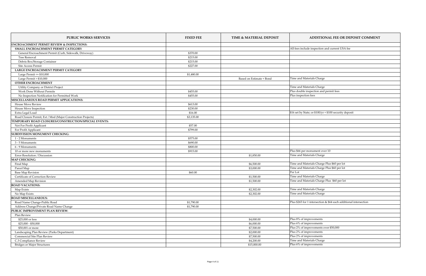| <b>PUBLIC WORKS SERVICES</b>                                 | <b>FIXED FEE</b> | TIME & MATERIAL DEPOSIT  | <b>ADDITIONAL FEE OR DEPOSIT COMMENT</b>                          |
|--------------------------------------------------------------|------------------|--------------------------|-------------------------------------------------------------------|
| <b>ENCROACHMENT PERMIT REVIEW &amp; INSPECTIONS:</b>         |                  |                          |                                                                   |
| SMALL ENCROACHMENT PERMIT CATEGORY                           |                  |                          | All fees include inspection and current USA fee                   |
| General Encroachment Permit (Curb, Sidewalk, Driveway)       | \$370.00         |                          |                                                                   |
| <b>Tree Removal</b>                                          | \$215.00         |                          |                                                                   |
| Debris Box/Storage Container                                 | \$215.00         |                          |                                                                   |
| <b>Site Access Permit</b>                                    | \$227.00         |                          |                                                                   |
| LARGE ENCROACHMENT PERMIT CATEGORY                           |                  |                          |                                                                   |
| Large Permit $\leq$ \$10,000                                 | \$1,480.00       |                          |                                                                   |
| Large Permit $> $10,000$                                     |                  | Based on Estimate + Bond | Time and Materials Charge                                         |
| <b>OTHER ENCROACHMENT</b>                                    |                  |                          |                                                                   |
| Utility Company or District Project                          |                  |                          | Time and Materials Charge                                         |
| <b>Work Done Without Permits</b>                             | \$455.00         |                          | Plus double inspection and permit fees                            |
| No Inspection Notification for Permitted Work                | \$455.00         |                          | Plus inspection fees                                              |
| MISCELLANEOUS ROAD PERMIT APPLICATIONS:                      |                  |                          |                                                                   |
| <b>House Move Review</b>                                     | \$613.00         |                          |                                                                   |
| House Move Inspection                                        | \$230.00         |                          |                                                                   |
| Extra Legal Load                                             | \$16.00          |                          | $$16$ set by State; or $$100/yr + $100$ security deposit          |
| Road Closure Permit, Ext / Mod (Major Construction Projects) | \$3,135.00       |                          |                                                                   |
| TEMPORARY ROAD CLOSURES/CONSTRUCTION/SPECIAL EVENTS:         |                  |                          |                                                                   |
| Not For Profit Applicant                                     | \$57.00          |                          |                                                                   |
| For Profit Applicant                                         | \$799.00         |                          |                                                                   |
| <b>SUBDIVISION MONUMENT CHECKING:</b>                        |                  |                          |                                                                   |
|                                                              | \$575.00         |                          |                                                                   |
| 1 - 2 Monuments                                              | \$690.00         |                          |                                                                   |
| 3 - 5 Monuments                                              |                  |                          |                                                                   |
| 6 - 9 Monuments                                              | \$800.00         |                          |                                                                   |
| 10 or more new monuments                                     | \$915.00         |                          | Plus \$66 per monument over 10                                    |
| Error Resolution / Discussion                                |                  | \$1,850.00               | Time and Materials Charge                                         |
| <b>MAP CHECKING:</b>                                         |                  |                          |                                                                   |
| Final Map                                                    |                  | \$6,500.00               | Time and Materials Charge Plus \$60 per lot                       |
| Parcel Map                                                   |                  | \$3,000.00               | Time and Materials Charge Plus \$60 per lot                       |
| <b>Base Map Revision</b>                                     | \$60.00          |                          | Per Lot                                                           |
| Certificate of Correction Review                             |                  | \$1,500.00               | Time and Materials Charge                                         |
| <b>Amended Map Revision</b>                                  |                  | \$1,500.00               | Time and Materials Charge Plus \$60 per lot                       |
| <b>ROAD VACATIONS:</b>                                       |                  |                          |                                                                   |
| Map Exists                                                   |                  | \$2,302.00               | Time and Materials Charge                                         |
| No Map Exists                                                |                  | \$2,302.00               | Time and Materials Charge                                         |
| <b>ROAD MISCELLANEOUS:</b>                                   |                  |                          |                                                                   |
| Road Name Change-Public Road                                 | \$1,790.00       |                          | Plus \$265 for 1 intersection & \$64 each additional intersection |
| Address Change/Private Road Name Change                      | \$1,790.00       |                          |                                                                   |
| PUBLIC IMPROVEMENT PLAN REVIEW:                              |                  |                          |                                                                   |
| Plan Review                                                  |                  |                          |                                                                   |
| \$25,000 or less                                             |                  | \$4,000.00               | Plus 8% of improvements                                           |
| $$25,000 - $50,000$                                          |                  | \$6,000.00               | $\sqrt{\text{Plus } 6\% \text{ of improvements}}$                 |
| \$50,001 or more                                             |                  | \$7,500.00               | Plus 2% of improvements over \$50,000                             |
| Landscaping Plan Review (Parks Department)                   |                  | \$2,000.00               | Plus 2% of improvements                                           |
| Commercial Site Plan Review                                  |                  | \$7,500.00               | Plus 2% of improvements                                           |
| C.3 Compliance Review                                        |                  | \$4,200.00               | Time and Materials Charge                                         |
| <b>Bridges or Major Structures</b>                           |                  | \$15,000.00              | Plus 6% of improvements                                           |
|                                                              |                  |                          |                                                                   |

| <b>IMENT</b> |
|--------------|
|              |
|              |
|              |
|              |
|              |
|              |
|              |
|              |
|              |
|              |
|              |
|              |
|              |
|              |
|              |
|              |
|              |
|              |
|              |
|              |
|              |
|              |
|              |
|              |
|              |
|              |
|              |
|              |
|              |
|              |
|              |
|              |
|              |
|              |
|              |
|              |
|              |
|              |
|              |
|              |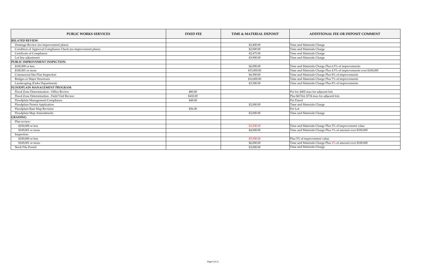| <b>PUBLIC WORKS SERVICES</b>                                  | <b>FIXED FEE</b> | <b>TIME &amp; MATERIAL DEPOSIT</b> | <b>ADDITIONAL FEE OR DEPOSIT COMMENT</b>                           |
|---------------------------------------------------------------|------------------|------------------------------------|--------------------------------------------------------------------|
| <b>RELATED REVIEW:</b>                                        |                  |                                    |                                                                    |
| Drainage Review (no improvement plans)                        |                  | \$2,400.00                         | Time and Materials Charge                                          |
| Condition of Approval Compliance Check (no improvement plans) |                  | \$2,000.00                         | Time and Materials Charge                                          |
| <b>Certificate of Compliance</b>                              |                  | \$2,475.00                         | Time and Materials Charge                                          |
| Lot line adjustment                                           |                  | \$3,900.00                         | Time and Materials Charge                                          |
| PUBLIC IMPROVEMENT INSPECTION:                                |                  |                                    |                                                                    |
| \$100,000 or less                                             |                  | \$6,000.00                         | Time and Materials Charge Plus 6.5% of improvements                |
| \$100,001 or more                                             |                  | \$15,000.00                        | Time and Materials Charge Plus 4.5% of improvements over \$100,000 |
| <b>Commercial Site Plan Inspection</b>                        |                  | \$6,500.00                         | Time and Materials Charge Plus 8% of improvements                  |
| <b>Bridges or Major Structures</b>                            |                  | \$14,000.00                        | Time and Materials Charge Plus 7% of improvements                  |
| Landscaping (Parks Department)                                |                  | \$3,500.00                         | Time and Materials Charge Plus 8% of improvements                  |
| FLOODPLAIN MANAGEMENT PROGRAM:                                |                  |                                    |                                                                    |
| Flood Zone Determination - Office Review                      | \$80.00          |                                    | Per lot, \$402 max for adjacent lots                               |
| Flood Zone Determination - Field Visit Review                 | \$432.00         |                                    | Plus \$67/lot, \$734 max for adjacent lots                         |
| Floodplain Management Compliance                              | \$48.00          |                                    | Per Parcel                                                         |
| Floodplain Permit Application                                 |                  | \$2,000.00                         | Time and Materials Charge                                          |
| Floodplain Base Map Revision                                  | \$56.00          |                                    | Per Lot                                                            |
| Floodplain Map Amendments                                     |                  | \$2,000.00                         | Time and Materials Charge                                          |
| <b>GRADING:</b>                                               |                  |                                    |                                                                    |
| Plan review:                                                  |                  |                                    |                                                                    |
| \$100,000 or less                                             |                  | \$3,000.00                         | Time and Materials Charge Plus 3% of improvement value             |
| \$100,001 or more                                             |                  | \$4,000.00                         | Time and Materials Charge Plus 1% of amount over \$100,000         |
| Inspection:                                                   |                  |                                    |                                                                    |
| \$100,000 or less                                             |                  | \$5,000.00                         | Plus 5% of improvement value                                       |
| \$100,001 or more                                             |                  | \$6,000.00                         | Time and Materials Charge Plus 4% of amount over \$100,000         |
| <b>Stock Pile Permit</b>                                      |                  | \$3,000.00                         | Time and Materials Charge                                          |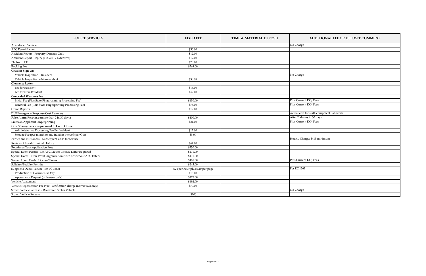| <b>POLICE SERVICES</b>                                               | <b>FIXED FEE</b>                  | TIME & MATERIAL DEPOSIT | <b>ADDITIONAL FEE OR DEPOSIT COMMENT</b>    |
|----------------------------------------------------------------------|-----------------------------------|-------------------------|---------------------------------------------|
| Abandoned Vehicle                                                    |                                   |                         | No Charge                                   |
| <b>ABC Permit Letter</b>                                             | \$50.00                           |                         |                                             |
| Accident Report - Property Damage Only                               | \$12.00                           |                         |                                             |
| Accident Report - Injury (1-20/20+ / Extensive)                      | \$12.00                           |                         |                                             |
| Photos to CD                                                         | \$25.00                           |                         |                                             |
| <b>Booking Fee</b>                                                   | \$564.00                          |                         |                                             |
| <b>Citation Sign-Off</b>                                             |                                   |                         |                                             |
| Vehicle Inspection - Resident                                        |                                   |                         | No Charge                                   |
| Vehicle Inspection - Non-resident                                    | \$38.98                           |                         |                                             |
| Clearance Letter:                                                    |                                   |                         |                                             |
| Fee for Resident                                                     | \$15.00                           |                         |                                             |
| Fee for Non-Resident                                                 | \$42.00                           |                         |                                             |
| <b>Concealed Weapons Fee:</b>                                        |                                   |                         |                                             |
| Initial Fee (Plus State Fingerprinting Processing Fee)               | \$450.00                          |                         | Plus Current DOJ Fees                       |
| Renewal Fee (Plus State Fingerprinting Processing Fee)               | \$75.00                           |                         | Plus Current DOJ Fees                       |
| <b>Crime Reports</b>                                                 | \$12.00                           |                         |                                             |
| DUI Emergency Response Cost Recovery                                 |                                   |                         | Actual cost for staff, equipment, lab work. |
| False Alarm Response (more than 2 in 30 days)                        | \$100.00                          |                         | After 2 alarms in 30 days                   |
| Livescan Applicant Fingerprinting                                    | \$21.00                           |                         | Plus Current DOJ Fees                       |
| <b>Gun Storage Services pursuant to Court Order:</b>                 |                                   |                         |                                             |
| Administrative Processing Fee Per Incident                           | \$12.00                           |                         |                                             |
| Storage Fee (per month or any fraction thereof) per Gun              | \$5.00                            |                         |                                             |
| Parties and Nuisances - Subsequent Calls for Service                 |                                   |                         | Hourly Charge; \$415 minimum                |
| Review of Local Criminal History                                     | \$44.00                           |                         |                                             |
| Rotational Tow Application Fees                                      | \$350.00                          |                         |                                             |
| Special Event Permit-No ABC Liquor License Letter Required           | \$411.00                          |                         |                                             |
| Special Event - Non-Profit Organization (with or without ABC letter) | \$411.00                          |                         |                                             |
| Second Hand Dealer License/Pawns                                     | \$165.00                          |                         | Plus Current DOJ Fees                       |
| Solicitor/Peddler Permits                                            | \$245.00                          |                         |                                             |
| Subpoena Duces Tecum (Per EC 1563)                                   | \$24 per hour plus \$.10 per page |                         | Per EC 1563                                 |
| <b>Production of Documents Only</b>                                  | \$15.00                           |                         |                                             |
| Appearance Request (officer/records)                                 | \$275.00                          |                         |                                             |
| Vehicle Abatement                                                    | \$492.00                          |                         |                                             |
| Vehicle Repossession Fee (VIN Verification charge individuals only)  | \$70.00                           |                         |                                             |
| Stored Vehicle Release - Recovered Stolen Vehicle                    |                                   |                         | No Charge                                   |
| <b>Stored Vehicle Release</b>                                        | \$100                             |                         |                                             |

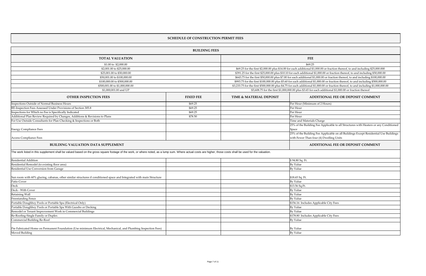|                                                                                                                                                                                                              | <b>BUILDING FEES</b> |                                    |                                                                                                                                       |
|--------------------------------------------------------------------------------------------------------------------------------------------------------------------------------------------------------------|----------------------|------------------------------------|---------------------------------------------------------------------------------------------------------------------------------------|
| <b>TOTAL VALUATION</b>                                                                                                                                                                                       |                      |                                    | <b>FEE</b>                                                                                                                            |
| \$1.00 to $$2,000.00$                                                                                                                                                                                        |                      |                                    | \$69.25                                                                                                                               |
| \$2,001.00 to \$25,000.00                                                                                                                                                                                    |                      |                                    | \$69.25 for the first \$2,000.00 plus \$14.00 for each additional \$1,000.00 or fraction thereof, to and including \$25,000.000       |
| \$25,001.00 to \$50,000.00                                                                                                                                                                                   |                      |                                    | \$391.25 for the first \$25,000.00 plus \$10.10 for each additional \$1,000.00 or fraction thereof, to and including \$50,000.00      |
| \$50,001.00 to \$100,000.00                                                                                                                                                                                  |                      |                                    | \$643.75 for the first \$50,000.00 plus \$7.00 for each additional \$1,000.00 or fraction thereof, to and including \$100,000.00      |
| \$100,000.00 to \$500,000.00                                                                                                                                                                                 |                      |                                    | \$993.75 for the first \$100,000.00 plus \$5.60 for each additional \$1,000.00 or fraction thereof, to and including \$500,000.00     |
| \$500,001.00 to \$1,000,000.00                                                                                                                                                                               |                      |                                    | \$3,233.75 for the first \$500,000.00 plus \$4.75 for each additional \$1,000.00 or fraction thereof, to and including \$1,000,000.00 |
| \$1,000,001.00 and UP                                                                                                                                                                                        |                      |                                    | \$5,608.75 for the first \$1,000,000.00 plus \$3.65 for each additional \$1,000.00 or fraction thereof                                |
| <b>OTHER INSPECTION FEES</b>                                                                                                                                                                                 | <b>FIXED FEE</b>     | <b>TIME &amp; MATERIAL DEPOSIT</b> | <b>ADDITIONAL FEE OR DEPOSIT COMMENT</b>                                                                                              |
| Inspections Outside of Normal Business Hours                                                                                                                                                                 | \$69.25              |                                    | Per Hour (Minimum of 2 Hours)                                                                                                         |
| RE-Inspection Fees Assessed Under Provisions of Section 305.8                                                                                                                                                | \$69.25              |                                    | Per Hour                                                                                                                              |
| Inspections for Which no Fee is Specifically Indicated                                                                                                                                                       | \$69.25              |                                    | Per Hour                                                                                                                              |
| Additional Plan Review Required by Changes, Additions & Revisions to Plans                                                                                                                                   | \$78.50              |                                    | Per Hour                                                                                                                              |
| For Use Outside Consultants for Plan Checking & Inspections or Both                                                                                                                                          |                      |                                    | Time and Materials Charge                                                                                                             |
| <b>Energy Compliance Fees</b>                                                                                                                                                                                |                      |                                    | 25% of the Building Fee Applicable to all Structures with Heaters or any Cone<br>Space                                                |
| Access Compliance Fees                                                                                                                                                                                       |                      |                                    | 25% of the Building Fee Applicable on all Buildings Except Residential Use B<br>with Fewer Than four (4) Dwelling Units               |
| <b>BUILDING VALUATION DATA SUPPLEMENT</b>                                                                                                                                                                    |                      |                                    | <b>ADDITIONAL FEE OR DEPOSIT COMMENT</b>                                                                                              |
| The work listed in this supplement shall be valued based on the gross square footage of the work, or where noted, as a lump sum. Where actual costs are higher, those costs shall be used for the valuation. |                      |                                    |                                                                                                                                       |
| $D_{\text{co}}$ <i>d</i> ontial $\Lambda$ ddition                                                                                                                                                            |                      |                                    | $Q$ 04 90 $C_{\alpha}$ $E_{\alpha}$                                                                                                   |

 $\beta$  94.80 Sq. Ft. Residential Remodel (to existing floor area) Residential Use Conversion from Garage Sun room with 60% glazing, cabanas, other similar structures if conditioned space and Integrated with main Structure Patio Cover  $$13.56\text{ Sq.Ft.}$ Proven a property of the Nuclear Apple of the Nuclear Apple of the Nuclear Apple of the Nuclear Apple of the Nuclear Apple of the Nuclear Apple of the Nuclear Apple of the Nuclear Apple of the Nuclear Apple of the Nuclear Retaining Wall **By Value** Freestanding Fence **By Value** Portable Doughboy Pools or Portable Spa (Electrical Only) Portable Doughboy Pools or Portable Spa With Gazebo or Decking Remodel or Tenant Improvement Work in Commercial Buildings Re-Roofing-Single Family or Duplex Commercial Building Re-Roof Pre Fabricated Home on Permanent Foundation (Use minimum Electrical, Mechanical, and Plumbing Inspection Fees) Moved Building **By Value** 

| \$94.80 Sq. Ft.<br>By Value<br>By Value<br>\$18.65 Sq. Ft.<br>By Value<br>\$13.56 Sq.Ft.<br>By Value<br>By Value<br>By Value |  |
|------------------------------------------------------------------------------------------------------------------------------|--|
|                                                                                                                              |  |
|                                                                                                                              |  |
|                                                                                                                              |  |
|                                                                                                                              |  |
|                                                                                                                              |  |
|                                                                                                                              |  |
|                                                                                                                              |  |
|                                                                                                                              |  |
|                                                                                                                              |  |
|                                                                                                                              |  |
| \$156.16 Includes Applicable City Fees                                                                                       |  |
| By Value                                                                                                                     |  |
| By Value                                                                                                                     |  |
| \$178.80 Includes Applicable City Fees                                                                                       |  |
| By Value                                                                                                                     |  |
|                                                                                                                              |  |
| By Value                                                                                                                     |  |
| By Value                                                                                                                     |  |

## **SCHEDULE OF CONSTRUCTION PERMIT FEES**

aters or any Conditioned esidential Use Buildings **ADDITION**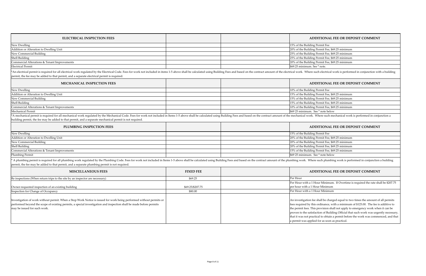| <b>ELECTRICAL INSPECTION FEES</b>              | <b>ADDITIONAL FEE OR DEPOSIT COMMENT</b>        |
|------------------------------------------------|-------------------------------------------------|
| New Dwelling                                   | 15% of the Building Permit Fee                  |
| <b>Addition or Alteration to Dwelling Unit</b> | 20% of the Building Permit Fee, \$69.25 minimum |
| New Commercial Building                        | 25% of the Building Permit Fee, \$69.25 minimum |
| Shell Building                                 | 25% of the Building Permit Fee, \$69.25 minimum |
| Commercial Alterations & Tenant Improvements   | 20% of the Building Permit Fee, \$69.25 minimum |
| <b>Electrical Permit</b>                       | $\frac{1}{2}$ \$69.25 minimum. See $*$ note.    |

| <b>MECHANICAL INSPECTION FEES</b>              | <b>ADDITIONAL FEE OR DEPOSIT COMMENT</b>        |
|------------------------------------------------|-------------------------------------------------|
| New Dwelling                                   | 10% of the Building Permit Fee                  |
| <b>Addition or Alteration to Dwelling Unit</b> | 15% of the Building Permit Fee, \$69.25 minimum |
| New Commercial Building                        | 15% of the Building Permit Fee, \$69.25 minimum |
| Shell Building                                 | 15% of the Building Permit Fee, \$69.25 minimum |
| Commercial Alterations & Tenant Improvements   | 10% of the Building Permit Fee, \$69.25 minimum |
| Mechanical Permit                              | $\frac{1}{2}$ \$69 25 minimum. See * note below |

| <b>PLUMBING INSPECTION FEES</b>                | <b>ADDITIONAL FEE OR DEPOSIT COMMENT</b>        |
|------------------------------------------------|-------------------------------------------------|
| New Dwelling                                   | 15% of the Building Permit Fee                  |
| <b>Addition or Alteration to Dwelling Unit</b> | 20% of the Building Permit Fee, \$69.25 minimum |
| New Commercial Building                        | 20% of the Building Permit Fee, \$69.25 minimum |
| Shell Building                                 | 20% of the Building Permit Fee, \$69.25 minimum |
| Commercial Alterations & Tenant Improvements   | 15% of the Building Permit Fee, \$69.25 minimum |
| Plumbing Permit                                | $\frac{1}{2}$ \$69 25 minimum. See * note below |

\* A plumbing permit is required for all plumbing work regulated by the Plumbing Code. Fees for work not included in Items 1-5 above shall be calculated using Building Fees and based on the contract amount of the plumbing w permit, the fee may be added to that permit, and a separate plumbing permit is not required.

\*A mechanical permit is required for all mechanical work regulated by the Mechanical Code. Fees for work not included in Items 1-5 above shall be calculated using Building Fees and based on the contract amount of the mecha building permit, the fee may be added to that permit, and a separate mechanical permit is not required.

\*An electrical permit is required for all electrical work regulated by the Electrical Code. Fees for work not included in items 1-5 above shall be calculated using Building Fees and based on the contract amount of the elec permit, the fee may be added to that permit, and a separate electrical permit is required.

| <b>MISCELLANEOUS FEES</b>                                                                                                                                                                                                                                                  | <b>FIXED FEE</b> | <b>ADDITIONAL FEE OR DEPOSIT COMMENT</b>                                                                                                                                                                                                                                                                                                                                                                                           |
|----------------------------------------------------------------------------------------------------------------------------------------------------------------------------------------------------------------------------------------------------------------------------|------------------|------------------------------------------------------------------------------------------------------------------------------------------------------------------------------------------------------------------------------------------------------------------------------------------------------------------------------------------------------------------------------------------------------------------------------------|
| Re inspections (When return trips to the site by an inspector are necessary)                                                                                                                                                                                               | \$69.25          | Per Hour                                                                                                                                                                                                                                                                                                                                                                                                                           |
|                                                                                                                                                                                                                                                                            |                  | Per Hour with a 1 Hour Minimum. If Overtime is required the rate sha                                                                                                                                                                                                                                                                                                                                                               |
| Owner-requested inspection of an existing building                                                                                                                                                                                                                         | \$69.25/\$207.75 | per hour with a 1 Hour Minimum                                                                                                                                                                                                                                                                                                                                                                                                     |
| Inspection for Change of Occupancy                                                                                                                                                                                                                                         | \$80.00          | Per Hour with a 1 Hour Minimum                                                                                                                                                                                                                                                                                                                                                                                                     |
| Investigation of work without permit. When a Stop Work Notice is issued for work being performed without permits or<br>performed beyond the scope of existing permits, a special investigation and inspection shall be made before permits<br>may be issued for such work. |                  | An investigation fee shall be charged equal to two times the amount of<br>fees required by this ordinance, with a minimum of \$125.00. The fee is<br>the permit fees. This provision shall not apply to emergency work whe<br>proven to the satisfaction of Building Official that such work was urger<br>that it was not practical to obtain a permit before the work was comme<br>a permit was applied for as soon as practical. |

e rate shall be \$207.75

mount of all permits The fee is additive to vork when it can be was urgently necessary, as commenced, and that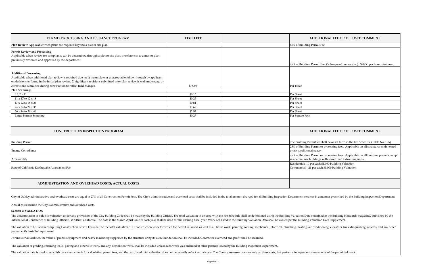| PERMIT PROCESSING AND ISSUANCE PROGRAM                                                                                                                                                      | <b>FIXED FEE</b> | ADDITIONAL FEE OR DEPOSIT COMMENT                                                                                                                    |
|---------------------------------------------------------------------------------------------------------------------------------------------------------------------------------------------|------------------|------------------------------------------------------------------------------------------------------------------------------------------------------|
| en plans are required beyond a plot or site plan.                                                                                                                                           |                  | 65% of Building Permit Fee                                                                                                                           |
| ing<br>compliance can be determined through a plot or site plan, or references to a master plan<br>proved by the department.                                                                |                  |                                                                                                                                                      |
|                                                                                                                                                                                             |                  | [25% of Building Permit Fee. (Subsequent houses also). \$78.50 per hour minimum.                                                                     |
|                                                                                                                                                                                             |                  |                                                                                                                                                      |
| plan review is required due to: 1) incomplete or unacceptable follow-through by applicant<br>initial plan review; 2) significant revisions submitted after plan review is well underway; or |                  |                                                                                                                                                      |
| g construction to reflect field changes.                                                                                                                                                    | \$78.50          | Per Hour                                                                                                                                             |
|                                                                                                                                                                                             | \$0.13           | Per Sheet                                                                                                                                            |
|                                                                                                                                                                                             | \$0.25           | Per Sheet                                                                                                                                            |
|                                                                                                                                                                                             | \$0.81           | Per Sheet                                                                                                                                            |
|                                                                                                                                                                                             | \$1.62           | Per Sheet                                                                                                                                            |
|                                                                                                                                                                                             | \$2.97           | Per Sheet                                                                                                                                            |
|                                                                                                                                                                                             | \$0.27           | Per Square Foot                                                                                                                                      |
|                                                                                                                                                                                             |                  |                                                                                                                                                      |
| <b>CONSTRUCTION INSPECTION PROGRAM</b>                                                                                                                                                      |                  | ADDITIONAL FEE OR DEPOSIT COMMENT                                                                                                                    |
|                                                                                                                                                                                             |                  | The Building Permit fee shall be as set forth in the Fee Schedule (Table No. 1-A)                                                                    |
|                                                                                                                                                                                             |                  | 25% of Building Permit or processing fees. Applicable on all structures with heated<br>or air conditioned space.                                     |
|                                                                                                                                                                                             |                  | [25% of Building Permit or processing fees. Applicable on all building permits except<br>residential use buildings with fewer than 4 dwelling units. |
| ke Assessment Fee                                                                                                                                                                           |                  | Residential: .10 per each \$1,000 building Valuation<br>Commercial: .21 per each \$1,000 building Valuation                                          |
|                                                                                                                                                                                             |                  |                                                                                                                                                      |
| NISTRATION AND OVERHEAD COSTS; ACTUAL COSTS                                                                                                                                                 |                  |                                                                                                                                                      |
|                                                                                                                                                                                             |                  |                                                                                                                                                      |

| PERMIT PROCESSING AND ISSUANCE PROGRAM                                                                                                                                                                            | <b>FIXED FEE</b> | <b>ADDITIC</b>                                               |
|-------------------------------------------------------------------------------------------------------------------------------------------------------------------------------------------------------------------|------------------|--------------------------------------------------------------|
| Plan Review-Applicable when plans are required beyond a plot or site plan.                                                                                                                                        |                  | 65% of Building Permit Fee                                   |
| <b>Permit Review and Processing</b><br>Applicable when review for compliance can be determined through a plot or site plan, or references to a master plan<br>previously reviewed and approved by the department. |                  |                                                              |
|                                                                                                                                                                                                                   |                  | 25% of Building Permit Fee                                   |
|                                                                                                                                                                                                                   |                  |                                                              |
| <b>Additional Processing</b><br>Applicable when additional plan review is required due to: 1) incomplete or unacceptable follow-through by applicant                                                              |                  |                                                              |
| on deficiencies found in the initial plan review; 2) significant revisions submitted after plan review is well underway; or                                                                                       |                  |                                                              |
| 3) revisions submitted during construction to reflect field changes.                                                                                                                                              | \$78.50          | Per Hour                                                     |
| <b>Plan Scanning:</b>                                                                                                                                                                                             |                  |                                                              |
| $81/2 \times 11$                                                                                                                                                                                                  | \$0.13           | Per Sheet                                                    |
| $11 \times 17$ to $12 \times 18$                                                                                                                                                                                  | \$0.25           | Per Sheet                                                    |
| $17 \times 22$ to $18 \times 24$                                                                                                                                                                                  | \$0.81           | Per Sheet                                                    |
| $24 \times 34$ to $24 \times 36$                                                                                                                                                                                  | \$1.62           | Per Sheet                                                    |
| 36 x 44 to 36 x 48                                                                                                                                                                                                | \$2.97           | Per Sheet                                                    |
| Large Format Scanning                                                                                                                                                                                             | \$0.27           | Per Square Foot                                              |
| <b>CONSTRUCTION INSPECTION PROGRAM</b>                                                                                                                                                                            |                  | <b>ADDITIC</b>                                               |
| <b>Building Permit</b>                                                                                                                                                                                            |                  | The Building Permit fee sha                                  |
| <b>Energy Compliance</b>                                                                                                                                                                                          |                  | 25% of Building Permit or<br>or air conditioned space.       |
| Accessibility                                                                                                                                                                                                     |                  | 25% of Building Permit or p<br>residential use buildings w   |
| State of California Earthquake Assessment Fee                                                                                                                                                                     |                  | Residential: .10 per each \$1<br>Commercial: .21 per each \$ |
|                                                                                                                                                                                                                   |                  |                                                              |
| ADMINISTRATION AND OVERHEAD COSTS; ACTUAL COSTS                                                                                                                                                                   |                  |                                                              |

City of Oakley administrative and overhead costs are equal to 27% of all Construction Permit Fees. The City's administrative and overhead costs shall be included in the total amount charged for all Building Inspection Depa

The valuation to be used in computing Construction Permit Fees shall be the total valuation of all construction work for which the permit is issued, as well as all finish work, painting, roofing, mechanical, electrical, pl permanently installed equipment.

For industrial facilities, the value of process equipment and heavy machinery supported by the structure or by its own foundation shall be included. Contractor overhead and profit shall be included.

The valuation of grading, retaining walls, paving and other site work, and any demolition work, shall be included unless such work was included in other permits issued by the Building Inspection Department.

The valuation data is used to establish consistent criteria for calculating permit fees, and the calculated total valuation does not necessarily reflect actual costs. The County Assessor does not rely on these costs, but p

Actual costs include the City's administrative and overhead costs.

### **Section 2: VALUATION**

The determination of value or valuation under any provisions of the City Building Code shall be made by the Building Official. The total valuation to be used with the Fee Schedule shall be determined using the Building Val International Conference of Building Officials, Whittier, California. The data in the March-April issue of each year shall be used for the ensuing fiscal year. Work not listed in the Building Valuation Data shall be valued

| <b>IMENT</b>                               |
|--------------------------------------------|
|                                            |
| per hour minimum <mark>.</mark>            |
|                                            |
|                                            |
|                                            |
|                                            |
|                                            |
|                                            |
|                                            |
|                                            |
|                                            |
|                                            |
| IMENT                                      |
| e (Table No. 1-A)<br>tructures with heated |
| uilding permits except                     |
|                                            |
|                                            |
|                                            |
|                                            |
| pection Department.                        |
| e, published by the                        |
| stems, and any other                       |
|                                            |
|                                            |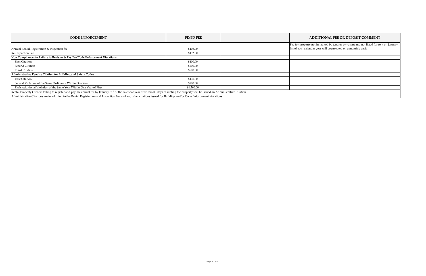| <b>CODE ENFORCEMENT</b>                                                                                                                                                                                                                                                                                                                                                            | <b>FIXED FEE</b> | <b>ADDITIONAL FEE OR DEPOSIT COMMENT</b>                                  |
|------------------------------------------------------------------------------------------------------------------------------------------------------------------------------------------------------------------------------------------------------------------------------------------------------------------------------------------------------------------------------------|------------------|---------------------------------------------------------------------------|
|                                                                                                                                                                                                                                                                                                                                                                                    |                  | Fee for property not inhabited by tenants or vacant and not listed for re |
| Annual Rental Registration & Inspection fee                                                                                                                                                                                                                                                                                                                                        | \$108.00         | 1st of each calendar year will be prorated on a monthly basis             |
| Re-Inspection Fee                                                                                                                                                                                                                                                                                                                                                                  | \$112.00         |                                                                           |
| Non Compliance for Failure to Register & Pay Fee/Code Enforcement Violations:                                                                                                                                                                                                                                                                                                      |                  |                                                                           |
| <b>First Citation</b>                                                                                                                                                                                                                                                                                                                                                              | \$100.00         |                                                                           |
| <b>Second Citation</b>                                                                                                                                                                                                                                                                                                                                                             | \$200.00         |                                                                           |
| Third Citation                                                                                                                                                                                                                                                                                                                                                                     | \$500.00         |                                                                           |
| Administrative Penalty Citation for Building and Safety Codes                                                                                                                                                                                                                                                                                                                      |                  |                                                                           |
| <b>First Citation</b>                                                                                                                                                                                                                                                                                                                                                              | \$130.00         |                                                                           |
| Second Violation of the Same Ordinance Within One Year                                                                                                                                                                                                                                                                                                                             | \$700.00         |                                                                           |
| Each Additional Violation of the Same Year Within One Year of First                                                                                                                                                                                                                                                                                                                | \$1,300.00       |                                                                           |
| Rental Property Owners failing to register and pay the annual fee by January 31 <sup>st</sup> of the calendar year or within 30 days of renting the property will be issued an Administrative Citation.<br>lAdministrative Citations are in addition to the Rental Registration and Inspection Fee and any other citations issued for Building and/or Code Enforcement violations. |                  |                                                                           |

Administrative Citations are in addition to the Rental Registration and Inspection Fee and any other citations issued for Building and/or Code Enforcement violations.

isted for rent on January